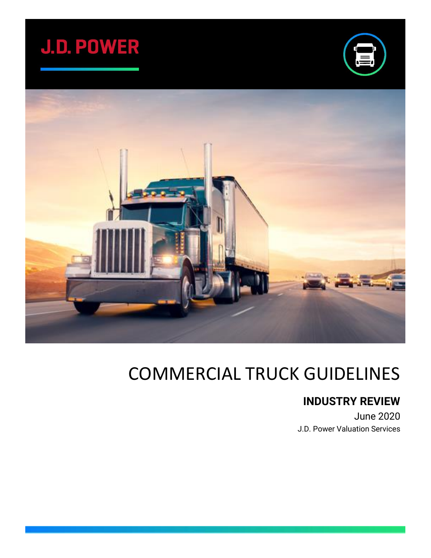





# COMMERCIAL TRUCK GUIDELINES

### **INDUSTRY REVIEW**

June 2020 J.D. Power Valuation Services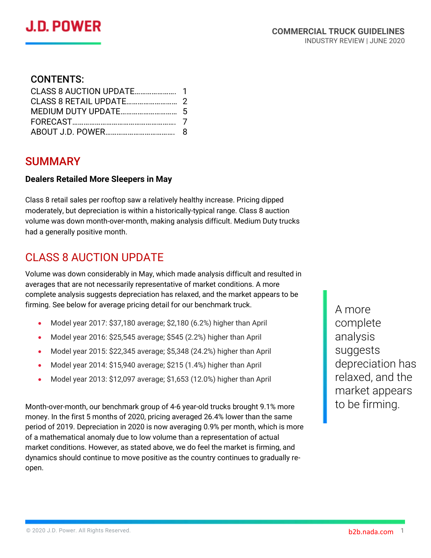#### CONTENTS:

#### SUMMARY

#### **Dealers Retailed More Sleepers in May**

Class 8 retail sales per rooftop saw a relatively healthy increase. Pricing dipped moderately, but depreciation is within a historically-typical range. Class 8 auction volume was down month-over-month, making analysis difficult. Medium Duty trucks had a generally positive month.

### CLASS 8 AUCTION UPDATE

Volume was down considerably in May, which made analysis difficult and resulted in averages that are not necessarily representative of market conditions. A more complete analysis suggests depreciation has relaxed, and the market appears to be firming. See below for average pricing detail for our benchmark truck.

- Model year 2017: \$37,180 average; \$2,180 (6.2%) higher than April
- Model year 2016: \$25,545 average; \$545 (2.2%) higher than April
- Model year 2015: \$22,345 average; \$5,348 (24.2%) higher than April
- Model year 2014: \$15,940 average; \$215 (1.4%) higher than April
- Model year 2013: \$12,097 average; \$1,653 (12.0%) higher than April

Month-over-month, our benchmark group of 4-6 year-old trucks brought 9.1% more money. In the first 5 months of 2020, pricing averaged 26.4% lower than the same period of 2019. Depreciation in 2020 is now averaging 0.9% per month, which is more of a mathematical anomaly due to low volume than a representation of actual market conditions. However, as stated above, we do feel the market is firming, and dynamics should continue to move positive as the country continues to gradually reopen.

A more complete analysis suggests depreciation has relaxed, and the market appears to be firming.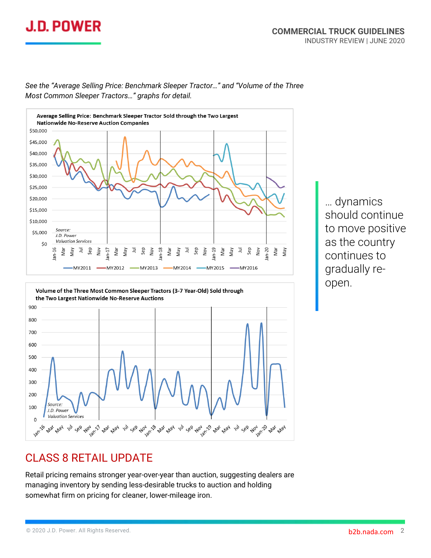



#### *See the "Average Selling Price: Benchmark Sleeper Tractor…" and "Volume of the Three Most Common Sleeper Tractors…" graphs for detail.*

… dynamics should continue to move positive as the country continues to gradually reopen.

#### CLASS 8 RETAIL UPDATE

**Now** 

2n-17 plat pray

 $50^{\circ}$ 

100

 $\mathbf 0$ **Jan-16**  Source.

J.D. Power **Valuation Services** 

**Max** May 14

Retail pricing remains stronger year-over-year than auction, suggesting dealers are managing inventory by sending less-desirable trucks to auction and holding somewhat firm on pricing for cleaner, lower-mileage iron.

14, 366 A0, 26, 418, 418, 14, 366 A0, 26, 418, 418, 14, 366 A0,

18/20 Mar May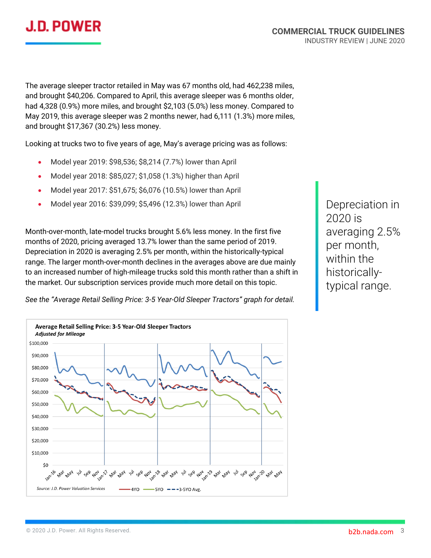

The average sleeper tractor retailed in May was 67 months old, had 462,238 miles, and brought \$40,206. Compared to April, this average sleeper was 6 months older, had 4,328 (0.9%) more miles, and brought \$2,103 (5.0%) less money. Compared to May 2019, this average sleeper was 2 months newer, had 6,111 (1.3%) more miles, and brought \$17,367 (30.2%) less money.

Looking at trucks two to five years of age, May's average pricing was as follows:

- Model year 2019: \$98,536; \$8,214 (7.7%) lower than April
- Model year 2018: \$85,027; \$1,058 (1.3%) higher than April
- Model year 2017: \$51,675; \$6,076 (10.5%) lower than April
- Model year 2016: \$39,099; \$5,496 (12.3%) lower than April

Month-over-month, late-model trucks brought 5.6% less money. In the first five months of 2020, pricing averaged 13.7% lower than the same period of 2019. Depreciation in 2020 is averaging 2.5% per month, within the historically-typical range. The larger month-over-month declines in the averages above are due mainly to an increased number of high-mileage trucks sold this month rather than a shift in the market. Our subscription services provide much more detail on this topic.

Depreciation in 2020 is averaging 2.5% per month, within the historicallytypical range.

*See the "Average Retail Selling Price: 3-5 Year-Old Sleeper Tractors" graph for detail.*

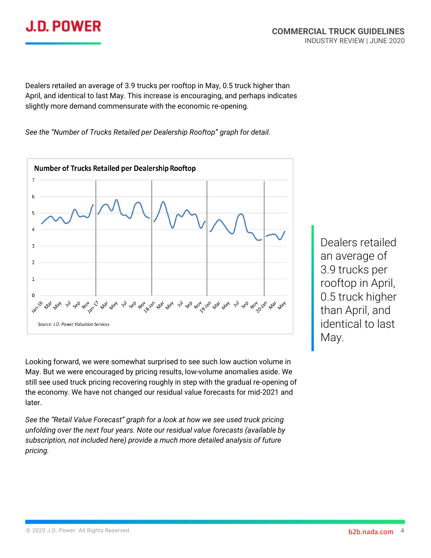

Dealers retailed an average of 3.9 trucks per rooftop in May, 0.5 truck higher than April, and identical to last May. This increase is encouraging, and perhaps indicates slightly more demand commensurate with the economic re-opening.

*See the "Number of Trucks Retailed per Dealership Rooftop" graph for detail.*



Looking forward, we were somewhat surprised to see such low auction volume in May. But we were encouraged by pricing results, low-volume anomalies aside. We still see used truck pricing recovering roughly in step with the gradual re-opening of the economy. We have not changed our residual value forecasts for mid-2021 and later.

*See the "Retail Value Forecast" graph for a look at how we see used truck pricing unfolding over the next four years. Note our residual value forecasts (available by subscription, not included here) provide a much more detailed analysis of future pricing.*

Dealers retailed an average of 3.9 trucks per rooftop in April, 0.5 truck higher than April, and identical to last May.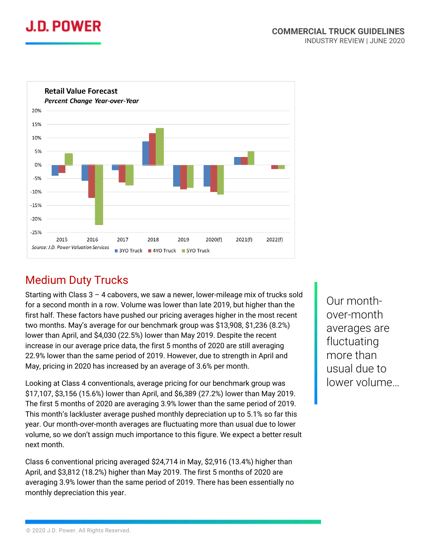



### Medium Duty Trucks

Starting with Class 3 – 4 cabovers, we saw a newer, lower-mileage mix of trucks sold for a second month in a row. Volume was lower than late 2019, but higher than the first half. These factors have pushed our pricing averages higher in the most recent two months. May's average for our benchmark group was \$13,908, \$1,236 (8.2%) lower than April, and \$4,030 (22.5%) lower than May 2019. Despite the recent increase in our average price data, the first 5 months of 2020 are still averaging 22.9% lower than the same period of 2019. However, due to strength in April and May, pricing in 2020 has increased by an average of 3.6% per month.

Looking at Class 4 conventionals, average pricing for our benchmark group was \$17,107, \$3,156 (15.6%) lower than April, and \$6,389 (27.2%) lower than May 2019. The first 5 months of 2020 are averaging 3.9% lower than the same period of 2019. This month's lackluster average pushed monthly depreciation up to 5.1% so far this year. Our month-over-month averages are fluctuating more than usual due to lower volume, so we don't assign much importance to this figure. We expect a better result next month.

Class 6 conventional pricing averaged \$24,714 in May, \$2,916 (13.4%) higher than April, and \$3,812 (18.2%) higher than May 2019. The first 5 months of 2020 are averaging 3.9% lower than the same period of 2019. There has been essentially no monthly depreciation this year.

Our monthover-month averages are fluctuating more than usual due to lower volume…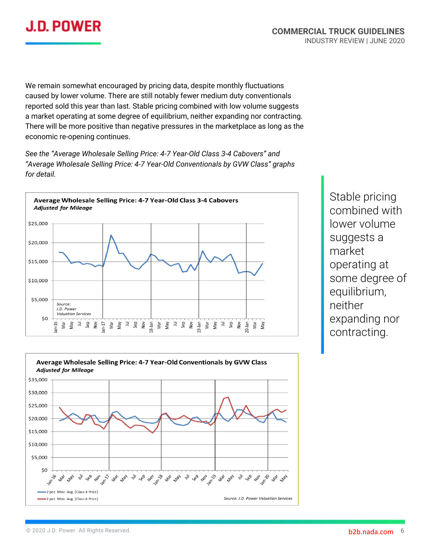

We remain somewhat encouraged by pricing data, despite monthly fluctuations caused by lower volume. There are still notably fewer medium duty conventionals reported sold this year than last. Stable pricing combined with low volume suggests a market operating at some degree of equilibrium, neither expanding nor contracting. There will be more positive than negative pressures in the marketplace as long as the economic re-opening continues.

*See the "Average Wholesale Selling Price: 4-7 Year-Old Class 3-4 Cabovers" and "Average Wholesale Selling Price: 4-7 Year-Old Conventionals by GVW Class" graphs for detail.*



Stable pricing combined with lower volume suggests a market operating at some degree of equilibrium, neither expanding nor contracting.

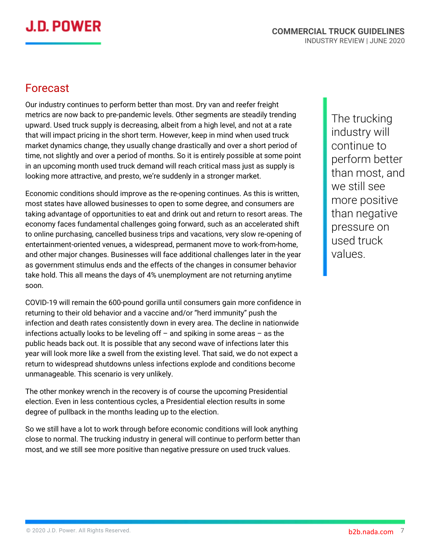## J.D. POWER

#### Forecast

Our industry continues to perform better than most. Dry van and reefer freight metrics are now back to pre-pandemic levels. Other segments are steadily trending upward. Used truck supply is decreasing, albeit from a high level, and not at a rate that will impact pricing in the short term. However, keep in mind when used truck market dynamics change, they usually change drastically and over a short period of time, not slightly and over a period of months. So it is entirely possible at some point in an upcoming month used truck demand will reach critical mass just as supply is looking more attractive, and presto, we're suddenly in a stronger market.

Economic conditions should improve as the re-opening continues. As this is written, most states have allowed businesses to open to some degree, and consumers are taking advantage of opportunities to eat and drink out and return to resort areas. The economy faces fundamental challenges going forward, such as an accelerated shift to online purchasing, cancelled business trips and vacations, very slow re-opening of entertainment-oriented venues, a widespread, permanent move to work-from-home, and other major changes. Businesses will face additional challenges later in the year as government stimulus ends and the effects of the changes in consumer behavior take hold. This all means the days of 4% unemployment are not returning anytime soon.

COVID-19 will remain the 600-pound gorilla until consumers gain more confidence in returning to their old behavior and a vaccine and/or "herd immunity" push the infection and death rates consistently down in every area. The decline in nationwide infections actually looks to be leveling off – and spiking in some areas – as the public heads back out. It is possible that any second wave of infections later this year will look more like a swell from the existing level. That said, we do not expect a return to widespread shutdowns unless infections explode and conditions become unmanageable. This scenario is very unlikely.

The other monkey wrench in the recovery is of course the upcoming Presidential election. Even in less contentious cycles, a Presidential election results in some degree of pullback in the months leading up to the election.

So we still have a lot to work through before economic conditions will look anything close to normal. The trucking industry in general will continue to perform better than most, and we still see more positive than negative pressure on used truck values.

The trucking industry will continue to perform better than most, and we still see more positive than negative pressure on used truck values.